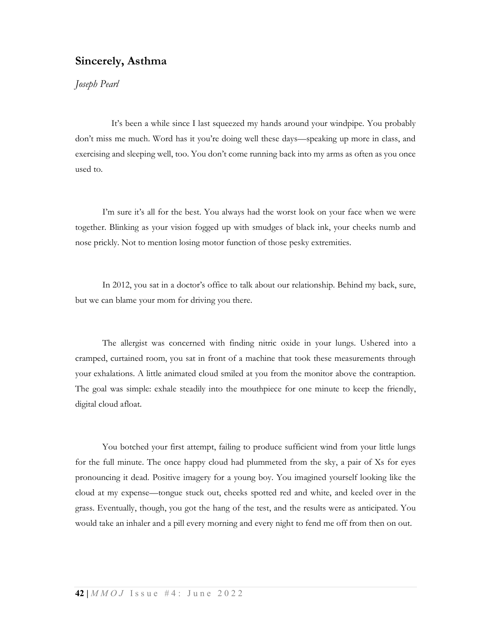## Sincerely, Asthma

## Joseph Pearl

 It's been a while since I last squeezed my hands around your windpipe. You probably don't miss me much. Word has it you're doing well these days—speaking up more in class, and exercising and sleeping well, too. You don't come running back into my arms as often as you once used to.

I'm sure it's all for the best. You always had the worst look on your face when we were together. Blinking as your vision fogged up with smudges of black ink, your cheeks numb and nose prickly. Not to mention losing motor function of those pesky extremities.

In 2012, you sat in a doctor's office to talk about our relationship. Behind my back, sure, but we can blame your mom for driving you there.

The allergist was concerned with finding nitric oxide in your lungs. Ushered into a cramped, curtained room, you sat in front of a machine that took these measurements through your exhalations. A little animated cloud smiled at you from the monitor above the contraption. The goal was simple: exhale steadily into the mouthpiece for one minute to keep the friendly, digital cloud afloat.

You botched your first attempt, failing to produce sufficient wind from your little lungs for the full minute. The once happy cloud had plummeted from the sky, a pair of Xs for eyes pronouncing it dead. Positive imagery for a young boy. You imagined yourself looking like the cloud at my expense—tongue stuck out, cheeks spotted red and white, and keeled over in the grass. Eventually, though, you got the hang of the test, and the results were as anticipated. You would take an inhaler and a pill every morning and every night to fend me off from then on out.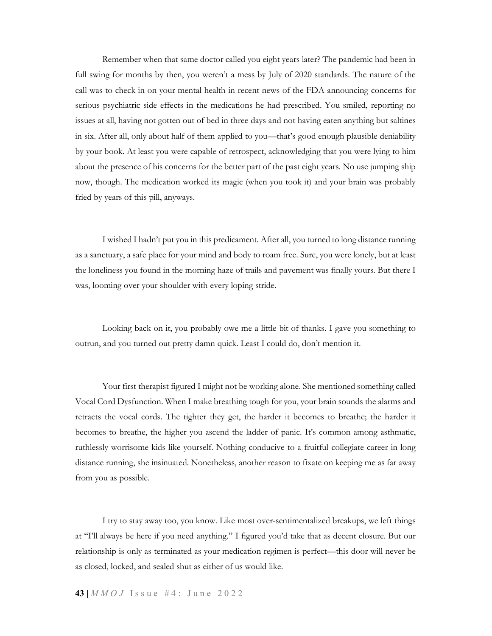Remember when that same doctor called you eight years later? The pandemic had been in full swing for months by then, you weren't a mess by July of 2020 standards. The nature of the call was to check in on your mental health in recent news of the FDA announcing concerns for serious psychiatric side effects in the medications he had prescribed. You smiled, reporting no issues at all, having not gotten out of bed in three days and not having eaten anything but saltines in six. After all, only about half of them applied to you—that's good enough plausible deniability by your book. At least you were capable of retrospect, acknowledging that you were lying to him about the presence of his concerns for the better part of the past eight years. No use jumping ship now, though. The medication worked its magic (when you took it) and your brain was probably fried by years of this pill, anyways.

I wished I hadn't put you in this predicament. After all, you turned to long distance running as a sanctuary, a safe place for your mind and body to roam free. Sure, you were lonely, but at least the loneliness you found in the morning haze of trails and pavement was finally yours. But there I was, looming over your shoulder with every loping stride.

Looking back on it, you probably owe me a little bit of thanks. I gave you something to outrun, and you turned out pretty damn quick. Least I could do, don't mention it.

Your first therapist figured I might not be working alone. She mentioned something called Vocal Cord Dysfunction. When I make breathing tough for you, your brain sounds the alarms and retracts the vocal cords. The tighter they get, the harder it becomes to breathe; the harder it becomes to breathe, the higher you ascend the ladder of panic. It's common among asthmatic, ruthlessly worrisome kids like yourself. Nothing conducive to a fruitful collegiate career in long distance running, she insinuated. Nonetheless, another reason to fixate on keeping me as far away from you as possible.

I try to stay away too, you know. Like most over-sentimentalized breakups, we left things at "I'll always be here if you need anything." I figured you'd take that as decent closure. But our relationship is only as terminated as your medication regimen is perfect—this door will never be as closed, locked, and sealed shut as either of us would like.